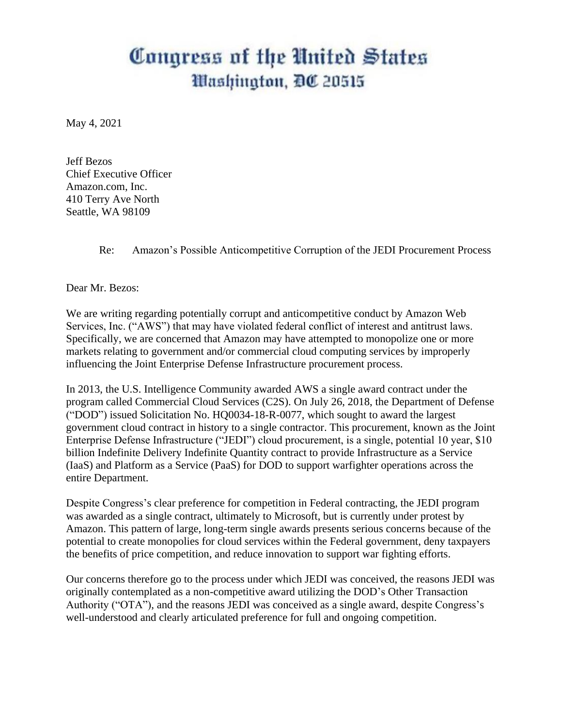# Congress of the United States *Mashington, DC 20515*

May 4, 2021

Jeff Bezos Chief Executive Officer Amazon.com, Inc. 410 Terry Ave North Seattle, WA 98109

Re: Amazon's Possible Anticompetitive Corruption of the JEDI Procurement Process

Dear Mr. Bezos:

We are writing regarding potentially corrupt and anticompetitive conduct by Amazon Web Services, Inc. ("AWS") that may have violated federal conflict of interest and antitrust laws. Specifically, we are concerned that Amazon may have attempted to monopolize one or more markets relating to government and/or commercial cloud computing services by improperly influencing the Joint Enterprise Defense Infrastructure procurement process.

In 2013, the U.S. Intelligence Community awarded AWS a single award contract under the program called Commercial Cloud Services (C2S). On July 26, 2018, the Department of Defense ("DOD") issued Solicitation No. HQ0034-18-R-0077, which sought to award the largest government cloud contract in history to a single contractor. This procurement, known as the Joint Enterprise Defense Infrastructure ("JEDI") cloud procurement, is a single, potential 10 year, \$10 billion Indefinite Delivery Indefinite Quantity contract to provide Infrastructure as a Service (IaaS) and Platform as a Service (PaaS) for DOD to support warfighter operations across the entire Department.

Despite Congress's clear preference for competition in Federal contracting, the JEDI program was awarded as a single contract, ultimately to Microsoft, but is currently under protest by Amazon. This pattern of large, long-term single awards presents serious concerns because of the potential to create monopolies for cloud services within the Federal government, deny taxpayers the benefits of price competition, and reduce innovation to support war fighting efforts.

Our concerns therefore go to the process under which JEDI was conceived, the reasons JEDI was originally contemplated as a non-competitive award utilizing the DOD's Other Transaction Authority ("OTA"), and the reasons JEDI was conceived as a single award, despite Congress's well-understood and clearly articulated preference for full and ongoing competition.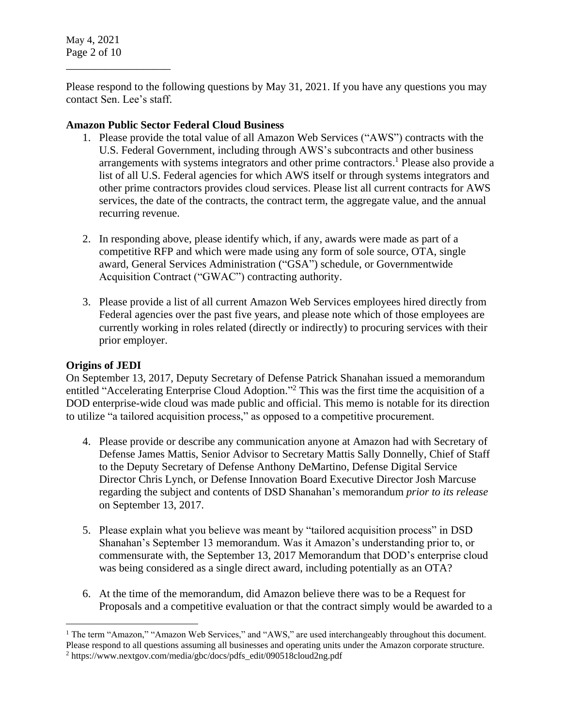May 4, 2021 Page 2 of 10

\_\_\_\_\_\_\_\_\_\_\_\_\_\_\_\_\_\_\_

Please respond to the following questions by May 31, 2021. If you have any questions you may contact Sen. Lee's staff.

## **Amazon Public Sector Federal Cloud Business**

- 1. Please provide the total value of all Amazon Web Services ("AWS") contracts with the U.S. Federal Government, including through AWS's subcontracts and other business arrangements with systems integrators and other prime contractors. <sup>1</sup> Please also provide a list of all U.S. Federal agencies for which AWS itself or through systems integrators and other prime contractors provides cloud services. Please list all current contracts for AWS services, the date of the contracts, the contract term, the aggregate value, and the annual recurring revenue.
- 2. In responding above, please identify which, if any, awards were made as part of a competitive RFP and which were made using any form of sole source, OTA, single award, General Services Administration ("GSA") schedule, or Governmentwide Acquisition Contract ("GWAC") contracting authority.
- 3. Please provide a list of all current Amazon Web Services employees hired directly from Federal agencies over the past five years, and please note which of those employees are currently working in roles related (directly or indirectly) to procuring services with their prior employer.

# **Origins of JEDI**

On September 13, 2017, Deputy Secretary of Defense Patrick Shanahan issued a memorandum entitled "Accelerating Enterprise Cloud Adoption."<sup>2</sup> This was the first time the acquisition of a DOD enterprise-wide cloud was made public and official. This memo is notable for its direction to utilize "a tailored acquisition process," as opposed to a competitive procurement.

- 4. Please provide or describe any communication anyone at Amazon had with Secretary of Defense James Mattis, Senior Advisor to Secretary Mattis Sally Donnelly, Chief of Staff to the Deputy Secretary of Defense Anthony DeMartino, Defense Digital Service Director Chris Lynch, or Defense Innovation Board Executive Director Josh Marcuse regarding the subject and contents of DSD Shanahan's memorandum *prior to its release* on September 13, 2017.
- 5. Please explain what you believe was meant by "tailored acquisition process" in DSD Shanahan's September 13 memorandum. Was it Amazon's understanding prior to, or commensurate with, the September 13, 2017 Memorandum that DOD's enterprise cloud was being considered as a single direct award, including potentially as an OTA?
- 6. At the time of the memorandum, did Amazon believe there was to be a Request for Proposals and a competitive evaluation or that the contract simply would be awarded to a

 $\overline{a}$ <sup>1</sup> The term "Amazon," "Amazon Web Services," and "AWS," are used interchangeably throughout this document. Please respond to all questions assuming all businesses and operating units under the Amazon corporate structure. <sup>2</sup> https://www.nextgov.com/media/gbc/docs/pdfs\_edit/090518cloud2ng.pdf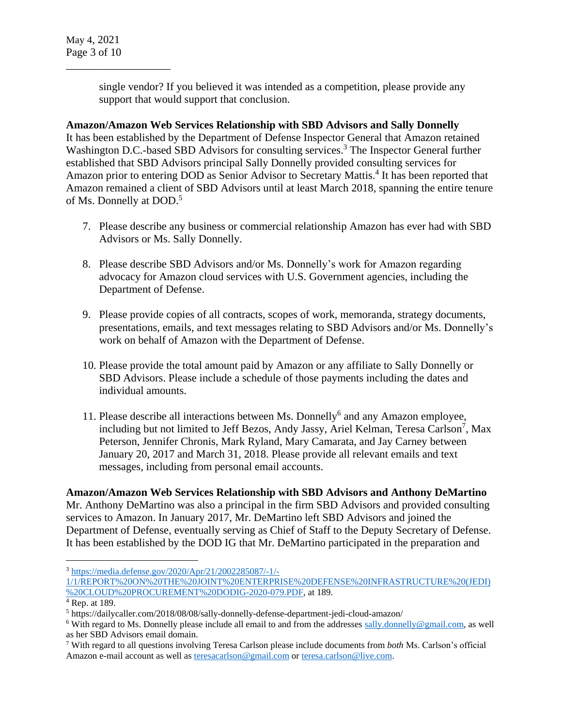\_\_\_\_\_\_\_\_\_\_\_\_\_\_\_\_\_\_\_

single vendor? If you believed it was intended as a competition, please provide any support that would support that conclusion.

# **Amazon/Amazon Web Services Relationship with SBD Advisors and Sally Donnelly**

It has been established by the Department of Defense Inspector General that Amazon retained Washington D.C.-based SBD Advisors for consulting services.<sup>3</sup> The Inspector General further established that SBD Advisors principal Sally Donnelly provided consulting services for Amazon prior to entering DOD as Senior Advisor to Secretary Mattis. 4 It has been reported that Amazon remained a client of SBD Advisors until at least March 2018, spanning the entire tenure of Ms. Donnelly at DOD. 5

- 7. Please describe any business or commercial relationship Amazon has ever had with SBD Advisors or Ms. Sally Donnelly.
- 8. Please describe SBD Advisors and/or Ms. Donnelly's work for Amazon regarding advocacy for Amazon cloud services with U.S. Government agencies, including the Department of Defense.
- 9. Please provide copies of all contracts, scopes of work, memoranda, strategy documents, presentations, emails, and text messages relating to SBD Advisors and/or Ms. Donnelly's work on behalf of Amazon with the Department of Defense.
- 10. Please provide the total amount paid by Amazon or any affiliate to Sally Donnelly or SBD Advisors. Please include a schedule of those payments including the dates and individual amounts.
- 11. Please describe all interactions between Ms. Donnelly<sup>6</sup> and any Amazon employee, including but not limited to Jeff Bezos, Andy Jassy, Ariel Kelman, Teresa Carlson<sup>7</sup>, Max Peterson, Jennifer Chronis, Mark Ryland, Mary Camarata, and Jay Carney between January 20, 2017 and March 31, 2018. Please provide all relevant emails and text messages, including from personal email accounts.

# **Amazon/Amazon Web Services Relationship with SBD Advisors and Anthony DeMartino**

Mr. Anthony DeMartino was also a principal in the firm SBD Advisors and provided consulting services to Amazon. In January 2017, Mr. DeMartino left SBD Advisors and joined the Department of Defense, eventually serving as Chief of Staff to the Deputy Secretary of Defense. It has been established by the DOD IG that Mr. DeMartino participated in the preparation and

 $\overline{a}$ <sup>3</sup> [https://media.defense.gov/2020/Apr/21/2002285087/-1/-](https://media.defense.gov/2020/Apr/21/2002285087/-1/-1/1/REPORT%20ON%20THE%20JOINT%20ENTERPRISE%20DEFENSE%20INFRASTRUCTURE%20(JEDI)%20CLOUD%20PROCUREMENT%20DODIG-2020-079.PDF)

[<sup>1/1/</sup>REPORT%20ON%20THE%20JOINT%20ENTERPRISE%20DEFENSE%20INFRASTRUCTURE%20\(JEDI\)](https://media.defense.gov/2020/Apr/21/2002285087/-1/-1/1/REPORT%20ON%20THE%20JOINT%20ENTERPRISE%20DEFENSE%20INFRASTRUCTURE%20(JEDI)%20CLOUD%20PROCUREMENT%20DODIG-2020-079.PDF) [%20CLOUD%20PROCUREMENT%20DODIG-2020-079.PDF,](https://media.defense.gov/2020/Apr/21/2002285087/-1/-1/1/REPORT%20ON%20THE%20JOINT%20ENTERPRISE%20DEFENSE%20INFRASTRUCTURE%20(JEDI)%20CLOUD%20PROCUREMENT%20DODIG-2020-079.PDF) at 189.

 $4$  Rep. at 189.

<sup>5</sup> https://dailycaller.com/2018/08/08/sally-donnelly-defense-department-jedi-cloud-amazon/

<sup>&</sup>lt;sup>6</sup> With regard to Ms. Donnelly please include all email to and from the addresses [sally.donnelly@gmail.com,](mailto:sally.donnelly@gmail.com) as well as her SBD Advisors email domain.

<sup>7</sup> With regard to all questions involving Teresa Carlson please include documents from *both* Ms. Carlson's official Amazon e-mail account as well as [teresacarlson@gmail.com](mailto:teresacarlson@gmail.com) o[r teresa.carlson@live.com.](mailto:teresa.carlson@live.com)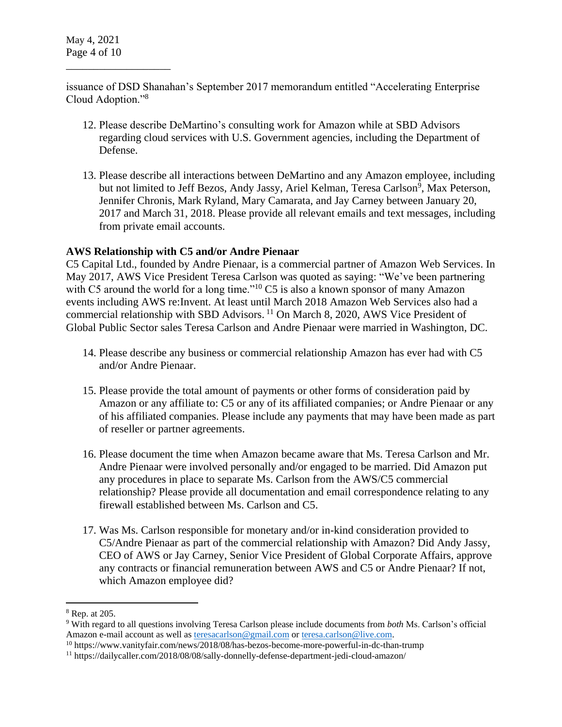\_\_\_\_\_\_\_\_\_\_\_\_\_\_\_\_\_\_\_

issuance of DSD Shanahan's September 2017 memorandum entitled "Accelerating Enterprise Cloud Adoption."<sup>8</sup>

- 12. Please describe DeMartino's consulting work for Amazon while at SBD Advisors regarding cloud services with U.S. Government agencies, including the Department of Defense.
- 13. Please describe all interactions between DeMartino and any Amazon employee, including but not limited to Jeff Bezos, Andy Jassy, Ariel Kelman, Teresa Carlson<sup>9</sup>, Max Peterson, Jennifer Chronis, Mark Ryland, Mary Camarata, and Jay Carney between January 20, 2017 and March 31, 2018. Please provide all relevant emails and text messages, including from private email accounts.

## **AWS Relationship with C5 and/or Andre Pienaar**

C5 Capital Ltd., founded by Andre Pienaar, is a commercial partner of Amazon Web Services. In May 2017, AWS Vice President Teresa Carlson was quoted as saying: "We've been partnering with C5 around the world for a long time."<sup>10</sup> C5 is also a known sponsor of many Amazon events including AWS re:Invent. At least until March 2018 Amazon Web Services also had a commercial relationship with SBD Advisors. <sup>11</sup> On March 8, 2020, AWS Vice President of Global Public Sector sales Teresa Carlson and Andre Pienaar were married in Washington, DC.

- 14. Please describe any business or commercial relationship Amazon has ever had with C5 and/or Andre Pienaar.
- 15. Please provide the total amount of payments or other forms of consideration paid by Amazon or any affiliate to: C5 or any of its affiliated companies; or Andre Pienaar or any of his affiliated companies. Please include any payments that may have been made as part of reseller or partner agreements.
- 16. Please document the time when Amazon became aware that Ms. Teresa Carlson and Mr. Andre Pienaar were involved personally and/or engaged to be married. Did Amazon put any procedures in place to separate Ms. Carlson from the AWS/C5 commercial relationship? Please provide all documentation and email correspondence relating to any firewall established between Ms. Carlson and C5.
- 17. Was Ms. Carlson responsible for monetary and/or in-kind consideration provided to C5/Andre Pienaar as part of the commercial relationship with Amazon? Did Andy Jassy, CEO of AWS or Jay Carney, Senior Vice President of Global Corporate Affairs, approve any contracts or financial remuneration between AWS and C5 or Andre Pienaar? If not, which Amazon employee did?

 $\overline{a}$ 

<sup>8</sup> Rep. at 205.

<sup>9</sup> With regard to all questions involving Teresa Carlson please include documents from *both* Ms. Carlson's official Amazon e-mail account as well as [teresacarlson@gmail.com](mailto:teresacarlson@gmail.com) o[r teresa.carlson@live.com.](mailto:teresa.carlson@live.com)

<sup>10</sup> https://www.vanityfair.com/news/2018/08/has-bezos-become-more-powerful-in-dc-than-trump

<sup>11</sup> https://dailycaller.com/2018/08/08/sally-donnelly-defense-department-jedi-cloud-amazon/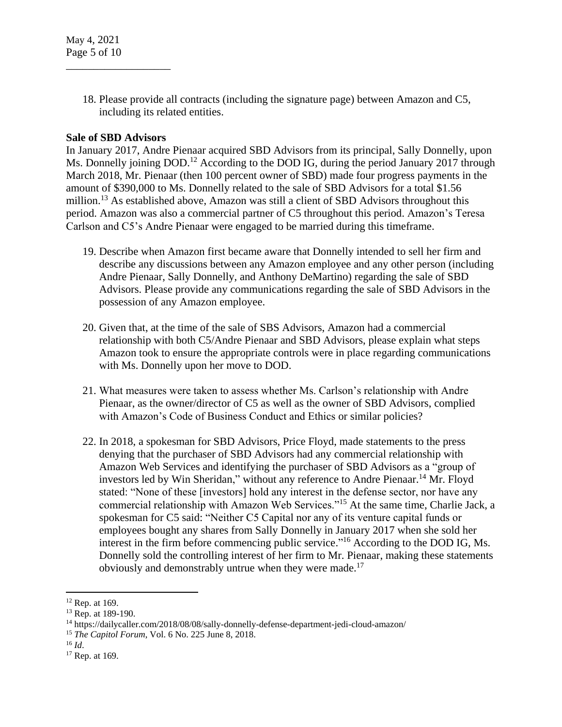18. Please provide all contracts (including the signature page) between Amazon and C5, including its related entities.

### **Sale of SBD Advisors**

\_\_\_\_\_\_\_\_\_\_\_\_\_\_\_\_\_\_\_

In January 2017, Andre Pienaar acquired SBD Advisors from its principal, Sally Donnelly, upon Ms. Donnelly joining DOD.<sup>12</sup> According to the DOD IG, during the period January 2017 through March 2018, Mr. Pienaar (then 100 percent owner of SBD) made four progress payments in the amount of \$390,000 to Ms. Donnelly related to the sale of SBD Advisors for a total \$1.56 million.<sup>13</sup> As established above, Amazon was still a client of SBD Advisors throughout this period. Amazon was also a commercial partner of C5 throughout this period. Amazon's Teresa Carlson and C5's Andre Pienaar were engaged to be married during this timeframe.

- 19. Describe when Amazon first became aware that Donnelly intended to sell her firm and describe any discussions between any Amazon employee and any other person (including Andre Pienaar, Sally Donnelly, and Anthony DeMartino) regarding the sale of SBD Advisors. Please provide any communications regarding the sale of SBD Advisors in the possession of any Amazon employee.
- 20. Given that, at the time of the sale of SBS Advisors, Amazon had a commercial relationship with both C5/Andre Pienaar and SBD Advisors, please explain what steps Amazon took to ensure the appropriate controls were in place regarding communications with Ms. Donnelly upon her move to DOD.
- 21. What measures were taken to assess whether Ms. Carlson's relationship with Andre Pienaar, as the owner/director of C5 as well as the owner of SBD Advisors, complied with Amazon's Code of Business Conduct and Ethics or similar policies?
- 22. In 2018, a spokesman for SBD Advisors, Price Floyd, made statements to the press denying that the purchaser of SBD Advisors had any commercial relationship with Amazon Web Services and identifying the purchaser of SBD Advisors as a "group of investors led by Win Sheridan," without any reference to Andre Pienaar.<sup>14</sup> Mr. Floyd stated: "None of these [investors] hold any interest in the defense sector, nor have any commercial relationship with Amazon Web Services."<sup>15</sup> At the same time, Charlie Jack, a spokesman for C5 said: "Neither C5 Capital nor any of its venture capital funds or employees bought any shares from Sally Donnelly in January 2017 when she sold her interest in the firm before commencing public service."<sup>16</sup> According to the DOD IG, Ms. Donnelly sold the controlling interest of her firm to Mr. Pienaar, making these statements obviously and demonstrably untrue when they were made.<sup>17</sup>

 $\overline{a}$ 

 $12$  Rep. at 169.

<sup>&</sup>lt;sup>13</sup> Rep. at 189-190.

<sup>14</sup> https://dailycaller.com/2018/08/08/sally-donnelly-defense-department-jedi-cloud-amazon/

<sup>15</sup> *The Capitol Forum*, Vol. 6 No. 225 June 8, 2018.

<sup>16</sup> *Id*.

<sup>&</sup>lt;sup>17</sup> Rep. at 169.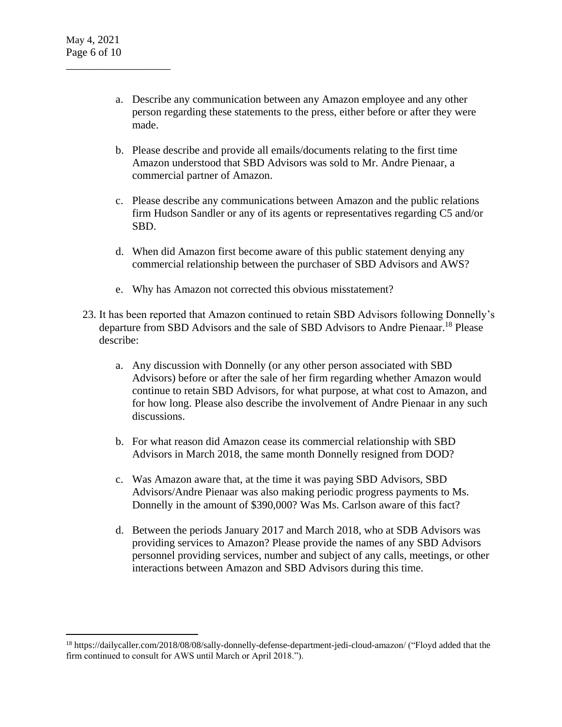$\overline{a}$ 

\_\_\_\_\_\_\_\_\_\_\_\_\_\_\_\_\_\_\_

- a. Describe any communication between any Amazon employee and any other person regarding these statements to the press, either before or after they were made.
- b. Please describe and provide all emails/documents relating to the first time Amazon understood that SBD Advisors was sold to Mr. Andre Pienaar, a commercial partner of Amazon.
- c. Please describe any communications between Amazon and the public relations firm Hudson Sandler or any of its agents or representatives regarding C5 and/or SBD.
- d. When did Amazon first become aware of this public statement denying any commercial relationship between the purchaser of SBD Advisors and AWS?
- e. Why has Amazon not corrected this obvious misstatement?
- 23. It has been reported that Amazon continued to retain SBD Advisors following Donnelly's departure from SBD Advisors and the sale of SBD Advisors to Andre Pienaar.<sup>18</sup> Please describe:
	- a. Any discussion with Donnelly (or any other person associated with SBD Advisors) before or after the sale of her firm regarding whether Amazon would continue to retain SBD Advisors, for what purpose, at what cost to Amazon, and for how long. Please also describe the involvement of Andre Pienaar in any such discussions.
	- b. For what reason did Amazon cease its commercial relationship with SBD Advisors in March 2018, the same month Donnelly resigned from DOD?
	- c. Was Amazon aware that, at the time it was paying SBD Advisors, SBD Advisors/Andre Pienaar was also making periodic progress payments to Ms. Donnelly in the amount of \$390,000? Was Ms. Carlson aware of this fact?
	- d. Between the periods January 2017 and March 2018, who at SDB Advisors was providing services to Amazon? Please provide the names of any SBD Advisors personnel providing services, number and subject of any calls, meetings, or other interactions between Amazon and SBD Advisors during this time.

<sup>18</sup> https://dailycaller.com/2018/08/08/sally-donnelly-defense-department-jedi-cloud-amazon/ ("Floyd added that the firm continued to consult for AWS until March or April 2018.").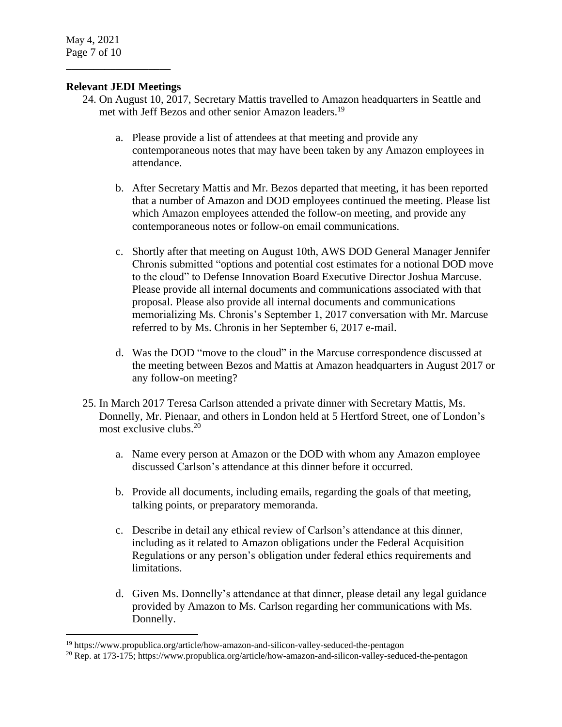May 4, 2021 Page 7 of 10

 $\overline{a}$ 

## **Relevant JEDI Meetings**

\_\_\_\_\_\_\_\_\_\_\_\_\_\_\_\_\_\_\_

- 24. On August 10, 2017, Secretary Mattis travelled to Amazon headquarters in Seattle and met with Jeff Bezos and other senior Amazon leaders.<sup>19</sup>
	- a. Please provide a list of attendees at that meeting and provide any contemporaneous notes that may have been taken by any Amazon employees in attendance.
	- b. After Secretary Mattis and Mr. Bezos departed that meeting, it has been reported that a number of Amazon and DOD employees continued the meeting. Please list which Amazon employees attended the follow-on meeting, and provide any contemporaneous notes or follow-on email communications.
	- c. Shortly after that meeting on August 10th, AWS DOD General Manager Jennifer Chronis submitted "options and potential cost estimates for a notional DOD move to the cloud" to Defense Innovation Board Executive Director Joshua Marcuse. Please provide all internal documents and communications associated with that proposal. Please also provide all internal documents and communications memorializing Ms. Chronis's September 1, 2017 conversation with Mr. Marcuse referred to by Ms. Chronis in her September 6, 2017 e-mail.
	- d. Was the DOD "move to the cloud" in the Marcuse correspondence discussed at the meeting between Bezos and Mattis at Amazon headquarters in August 2017 or any follow-on meeting?
- 25. In March 2017 Teresa Carlson attended a private dinner with Secretary Mattis, Ms. Donnelly, Mr. Pienaar, and others in London held at 5 Hertford Street, one of London's most exclusive clubs. 20
	- a. Name every person at Amazon or the DOD with whom any Amazon employee discussed Carlson's attendance at this dinner before it occurred.
	- b. Provide all documents, including emails, regarding the goals of that meeting, talking points, or preparatory memoranda.
	- c. Describe in detail any ethical review of Carlson's attendance at this dinner, including as it related to Amazon obligations under the Federal Acquisition Regulations or any person's obligation under federal ethics requirements and limitations.
	- d. Given Ms. Donnelly's attendance at that dinner, please detail any legal guidance provided by Amazon to Ms. Carlson regarding her communications with Ms. Donnelly.

<sup>&</sup>lt;sup>19</sup> https://www.propublica.org/article/how-amazon-and-silicon-valley-seduced-the-pentagon

<sup>20</sup> Rep. at 173-175; https://www.propublica.org/article/how-amazon-and-silicon-valley-seduced-the-pentagon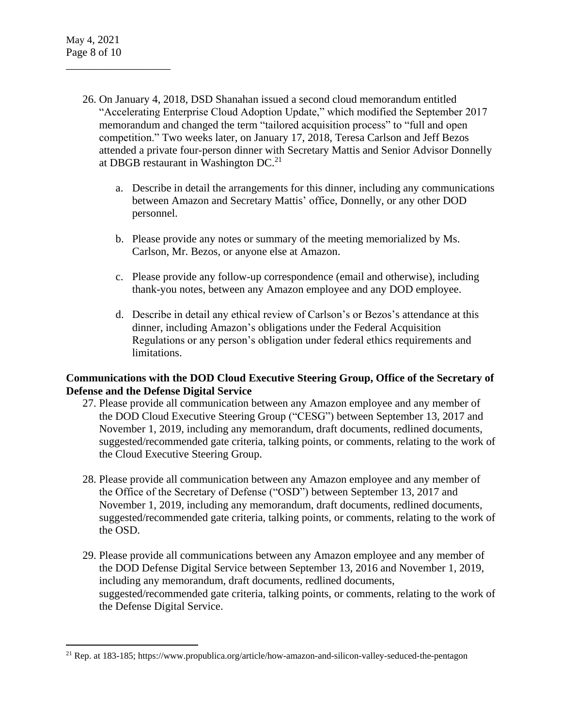$\overline{a}$ 

\_\_\_\_\_\_\_\_\_\_\_\_\_\_\_\_\_\_\_

- 26. On January 4, 2018, DSD Shanahan issued a second cloud memorandum entitled "Accelerating Enterprise Cloud Adoption Update," which modified the September 2017 memorandum and changed the term "tailored acquisition process" to "full and open competition." Two weeks later, on January 17, 2018, Teresa Carlson and Jeff Bezos attended a private four-person dinner with Secretary Mattis and Senior Advisor Donnelly at DBGB restaurant in Washington  $DC<sup>21</sup>$ 
	- a. Describe in detail the arrangements for this dinner, including any communications between Amazon and Secretary Mattis' office, Donnelly, or any other DOD personnel.
	- b. Please provide any notes or summary of the meeting memorialized by Ms. Carlson, Mr. Bezos, or anyone else at Amazon.
	- c. Please provide any follow-up correspondence (email and otherwise), including thank-you notes, between any Amazon employee and any DOD employee.
	- d. Describe in detail any ethical review of Carlson's or Bezos's attendance at this dinner, including Amazon's obligations under the Federal Acquisition Regulations or any person's obligation under federal ethics requirements and limitations.

## **Communications with the DOD Cloud Executive Steering Group, Office of the Secretary of Defense and the Defense Digital Service**

- 27. Please provide all communication between any Amazon employee and any member of the DOD Cloud Executive Steering Group ("CESG") between September 13, 2017 and November 1, 2019, including any memorandum, draft documents, redlined documents, suggested/recommended gate criteria, talking points, or comments, relating to the work of the Cloud Executive Steering Group.
- 28. Please provide all communication between any Amazon employee and any member of the Office of the Secretary of Defense ("OSD") between September 13, 2017 and November 1, 2019, including any memorandum, draft documents, redlined documents, suggested/recommended gate criteria, talking points, or comments, relating to the work of the OSD.
- 29. Please provide all communications between any Amazon employee and any member of the DOD Defense Digital Service between September 13, 2016 and November 1, 2019, including any memorandum, draft documents, redlined documents, suggested/recommended gate criteria, talking points, or comments, relating to the work of the Defense Digital Service.

<sup>21</sup> Rep. at 183-185; https://www.propublica.org/article/how-amazon-and-silicon-valley-seduced-the-pentagon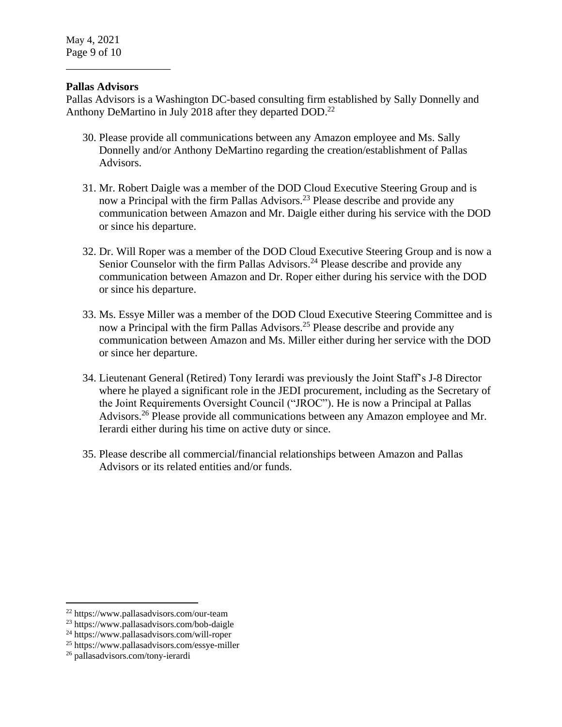## **Pallas Advisors**

\_\_\_\_\_\_\_\_\_\_\_\_\_\_\_\_\_\_\_

Pallas Advisors is a Washington DC-based consulting firm established by Sally Donnelly and Anthony DeMartino in July 2018 after they departed DOD.<sup>22</sup>

- 30. Please provide all communications between any Amazon employee and Ms. Sally Donnelly and/or Anthony DeMartino regarding the creation/establishment of Pallas Advisors.
- 31. Mr. Robert Daigle was a member of the DOD Cloud Executive Steering Group and is now a Principal with the firm Pallas Advisors.<sup>23</sup> Please describe and provide any communication between Amazon and Mr. Daigle either during his service with the DOD or since his departure.
- 32. Dr. Will Roper was a member of the DOD Cloud Executive Steering Group and is now a Senior Counselor with the firm Pallas Advisors.<sup>24</sup> Please describe and provide any communication between Amazon and Dr. Roper either during his service with the DOD or since his departure.
- 33. Ms. Essye Miller was a member of the DOD Cloud Executive Steering Committee and is now a Principal with the firm Pallas Advisors.<sup>25</sup> Please describe and provide any communication between Amazon and Ms. Miller either during her service with the DOD or since her departure.
- 34. Lieutenant General (Retired) Tony Ierardi was previously the Joint Staff's J-8 Director where he played a significant role in the JEDI procurement, including as the Secretary of the Joint Requirements Oversight Council ("JROC"). He is now a Principal at Pallas Advisors.<sup>26</sup> Please provide all communications between any Amazon employee and Mr. Ierardi either during his time on active duty or since.
- 35. Please describe all commercial/financial relationships between Amazon and Pallas Advisors or its related entities and/or funds.

 $\overline{a}$ 

<sup>22</sup> https://www.pallasadvisors.com/our-team

<sup>23</sup> https://www.pallasadvisors.com/bob-daigle

<sup>24</sup> https://www.pallasadvisors.com/will-roper

<sup>25</sup> https://www.pallasadvisors.com/essye-miller

<sup>26</sup> pallasadvisors.com/tony-ierardi